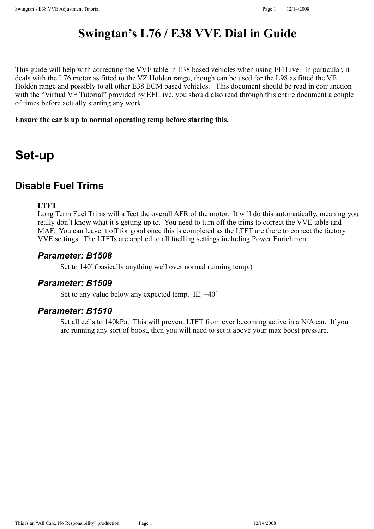# **Swingtan's L76 / E38 VVE Dial in Guide**

This guide will help with correcting the VVE table in E38 based vehicles when using EFILive. In particular, it deals with the L76 motor as fitted to the VZ Holden range, though can be used for the L98 as fitted the VE Holden range and possibly to all other E38 ECM based vehicles. This document should be read in conjunction with the "Virtual VE Tutorial" provided by EFILive, you should also read through this entire document a couple of times before actually starting any work.

#### **Ensure the car is up to normal operating temp before starting this.**

# **Set-up**

# **Disable Fuel Trims**

#### **LTFT**

Long Term Fuel Trims will affect the overall AFR of the motor. It will do this automatically, meaning you really don't know what it's getting up to. You need to turn off the trims to correct the VVE table and MAF. You can leave it off for good once this is completed as the LTFT are there to correct the factory VVE settings. The LTFTs are applied to all fuelling settings including Power Enrichment.

#### *Parameter: B1508*

Set to 140' (basically anything well over normal running temp.)

# *Parameter: B1509*

Set to any value below any expected temp. IE. –40'

#### *Parameter: B1510*

Set all cells to 140kPa. This will prevent LTFT from ever becoming active in a N/A car. If you are running any sort of boost, then you will need to set it above your max boost pressure.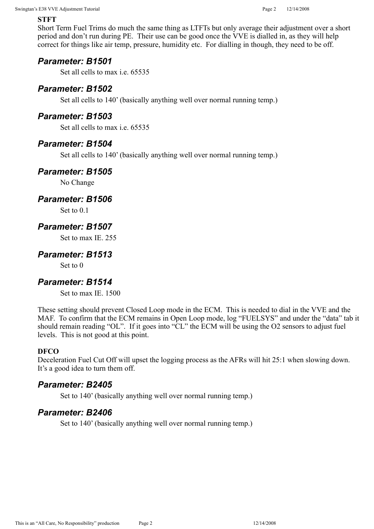#### **STFT**

Short Term Fuel Trims do much the same thing as LTFTs but only average their adjustment over a short period and don't run during PE. Their use can be good once the VVE is dialled in, as they will help correct for things like air temp, pressure, humidity etc. For dialling in though, they need to be off.

# *Parameter: B1501*

Set all cells to max i.e. 65535

### *Parameter: B1502*

Set all cells to 140' (basically anything well over normal running temp.)

### *Parameter: B1503*

Set all cells to max i.e. 65535

### *Parameter: B1504*

Set all cells to 140' (basically anything well over normal running temp.)

### *Parameter: B1505*

No Change

#### *Parameter: B1506*

Set to 0.1

# *Parameter: B1507*

Set to max IE. 255

# *Parameter: B1513*

Set to 0

# *Parameter: B1514*

Set to max IE 1500

These setting should prevent Closed Loop mode in the ECM. This is needed to dial in the VVE and the MAF. To confirm that the ECM remains in Open Loop mode, log "FUELSYS" and under the "data" tab it should remain reading "OL". If it goes into "CL" the ECM will be using the O2 sensors to adjust fuel levels. This is not good at this point.

#### **DFCO**

Deceleration Fuel Cut Off will upset the logging process as the AFRs will hit 25:1 when slowing down. It's a good idea to turn them off.

#### *Parameter: B2405*

Set to 140' (basically anything well over normal running temp.)

# *Parameter: B2406*

Set to 140' (basically anything well over normal running temp.)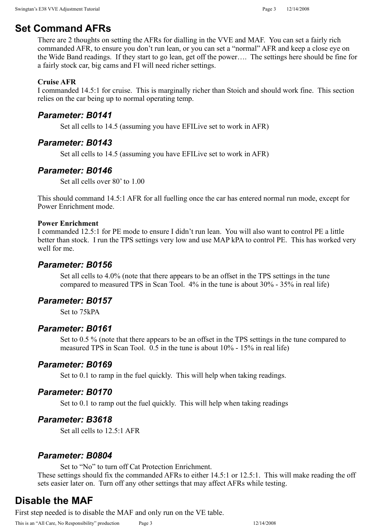# **Set Command AFRs**

There are 2 thoughts on setting the AFRs for dialling in the VVE and MAF. You can set a fairly rich commanded AFR, to ensure you don't run lean, or you can set a "normal" AFR and keep a close eye on the Wide Band readings. If they start to go lean, get off the power…. The settings here should be fine for a fairly stock car, big cams and FI will need richer settings.

#### **Cruise AFR**

I commanded 14.5:1 for cruise. This is marginally richer than Stoich and should work fine. This section relies on the car being up to normal operating temp.

#### *Parameter: B0141*

Set all cells to 14.5 (assuming you have EFILive set to work in AFR)

#### *Parameter: B0143*

Set all cells to 14.5 (assuming you have EFILive set to work in AFR)

### *Parameter: B0146*

Set all cells over 80' to 1.00

This should command 14.5:1 AFR for all fuelling once the car has entered normal run mode, except for Power Enrichment mode.

#### **Power Enrichment**

I commanded 12.5:1 for PE mode to ensure I didn't run lean. You will also want to control PE a little better than stock. I run the TPS settings very low and use MAP kPA to control PE. This has worked very well for me.

#### *Parameter: B0156*

Set all cells to 4.0% (note that there appears to be an offset in the TPS settings in the tune compared to measured TPS in Scan Tool. 4% in the tune is about 30% - 35% in real life)

#### *Parameter: B0157*

Set to 75kPA

#### *Parameter: B0161*

Set to 0.5 % (note that there appears to be an offset in the TPS settings in the tune compared to measured TPS in Scan Tool. 0.5 in the tune is about 10% - 15% in real life)

#### *Parameter: B0169*

Set to 0.1 to ramp in the fuel quickly. This will help when taking readings.

#### *Parameter: B0170*

Set to 0.1 to ramp out the fuel quickly. This will help when taking readings

#### *Parameter: B3618*

Set all cells to 12.5:1 AFR

#### *Parameter: B0804*

Set to "No" to turn off Cat Protection Enrichment.

These settings should fix the commanded AFRs to either 14.5:1 or 12.5:1. This will make reading the off sets easier later on. Turn off any other settings that may affect AFRs while testing.

# **Disable the MAF**

First step needed is to disable the MAF and only run on the VE table.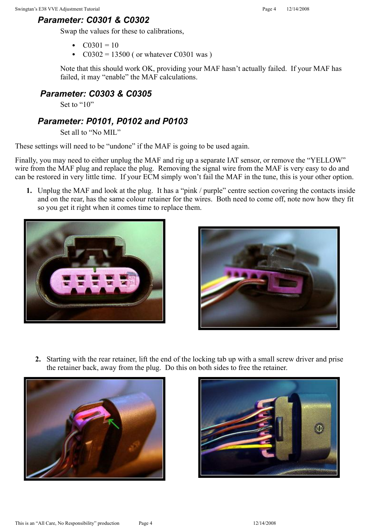# *Parameter: C0301 & C0302*

Swap the values for these to calibrations,

- $C0301 = 10$
- $C0302 = 13500$  ( or whatever C0301 was )

Note that this should work OK, providing your MAF hasn't actually failed. If your MAF has failed, it may "enable" the MAF calculations.

# *Parameter: C0303 & C0305*

Set to "10"

# *Parameter: P0101, P0102 and P0103*

Set all to "No MIL"

These settings will need to be "undone" if the MAF is going to be used again.

Finally, you may need to either unplug the MAF and rig up a separate IAT sensor, or remove the "YELLOW" wire from the MAF plug and replace the plug. Removing the signal wire from the MAF is very easy to do and can be restored in very little time. If your ECM simply won't fail the MAF in the tune, this is your other option.

**1.** Unplug the MAF and look at the plug. It has a "pink / purple" centre section covering the contacts inside and on the rear, has the same colour retainer for the wires. Both need to come off, note now how they fit so you get it right when it comes time to replace them.





**2.** Starting with the rear retainer, lift the end of the locking tab up with a small screw driver and prise the retainer back, away from the plug. Do this on both sides to free the retainer.



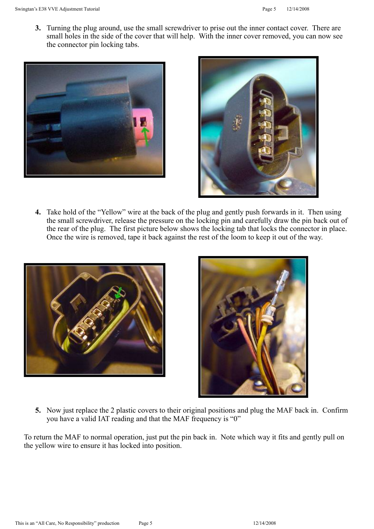**3.** Turning the plug around, use the small screwdriver to prise out the inner contact cover. There are small holes in the side of the cover that will help. With the inner cover removed, you can now see the connector pin locking tabs.





**4.** Take hold of the "Yellow" wire at the back of the plug and gently push forwards in it. Then using the small screwdriver, release the pressure on the locking pin and carefully draw the pin back out of the rear of the plug. The first picture below shows the locking tab that locks the connector in place. Once the wire is removed, tape it back against the rest of the loom to keep it out of the way.





**5.** Now just replace the 2 plastic covers to their original positions and plug the MAF back in. Confirm you have a valid IAT reading and that the MAF frequency is "0"

To return the MAF to normal operation, just put the pin back in. Note which way it fits and gently pull on the yellow wire to ensure it has locked into position.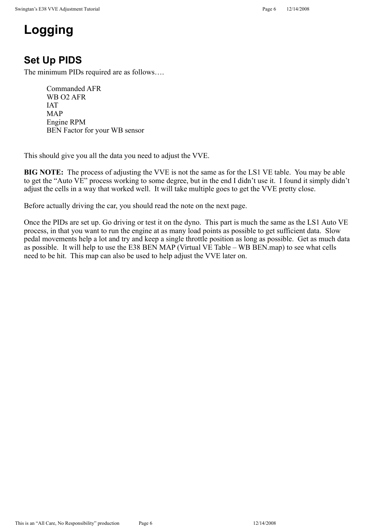# **Logging**

# **Set Up PIDS**

The minimum PIDs required are as follows….

Commanded AFR WB O2 AFR IAT MAP Engine RPM BEN Factor for your WB sensor

This should give you all the data you need to adjust the VVE.

**BIG NOTE:** The process of adjusting the VVE is not the same as for the LS1 VE table. You may be able to get the "Auto VE" process working to some degree, but in the end I didn't use it. I found it simply didn't adjust the cells in a way that worked well. It will take multiple goes to get the VVE pretty close.

Before actually driving the car, you should read the note on the next page.

Once the PIDs are set up. Go driving or test it on the dyno. This part is much the same as the LS1 Auto VE process, in that you want to run the engine at as many load points as possible to get sufficient data. Slow pedal movements help a lot and try and keep a single throttle position as long as possible. Get as much data as possible. It will help to use the E38 BEN MAP (Virtual VE Table – WB BEN.map) to see what cells need to be hit. This map can also be used to help adjust the VVE later on.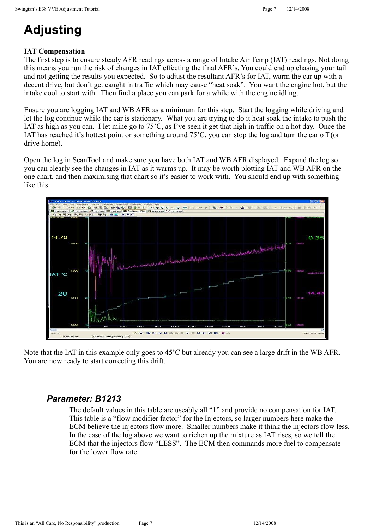# **Adjusting**

# **IAT Compensation**

The first step is to ensure steady AFR readings across a range of Intake Air Temp (IAT) readings. Not doing this means you run the risk of changes in IAT effecting the final AFR's. You could end up chasing your tail and not getting the results you expected. So to adjust the resultant AFR's for IAT, warm the car up with a decent drive, but don't get caught in traffic which may cause "heat soak". You want the engine hot, but the intake cool to start with. Then find a place you can park for a while with the engine idling.

Ensure you are logging IAT and WB AFR as a minimum for this step. Start the logging while driving and let the log continue while the car is stationary. What you are trying to do it heat soak the intake to push the IAT as high as you can. I let mine go to 75'C, as I've seen it get that high in traffic on a hot day. Once the IAT has reached it's hottest point or something around 75'C, you can stop the log and turn the car off (or drive home).

Open the log in ScanTool and make sure you have both IAT and WB AFR displayed. Expand the log so you can clearly see the changes in IAT as it warms up. It may be worth plotting IAT and WB AFR on the one chart, and then maximising that chart so it's easier to work with. You should end up with something like this.



Note that the IAT in this example only goes to 45'C but already you can see a large drift in the WB AFR. You are now ready to start correcting this drift.

# *Parameter: B1213*

The default values in this table are useably all "1" and provide no compensation for IAT. This table is a "flow modifier factor" for the Injectors, so larger numbers here make the ECM believe the injectors flow more. Smaller numbers make it think the injectors flow less. In the case of the log above we want to richen up the mixture as IAT rises, so we tell the ECM that the injectors flow "LESS". The ECM then commands more fuel to compensate for the lower flow rate.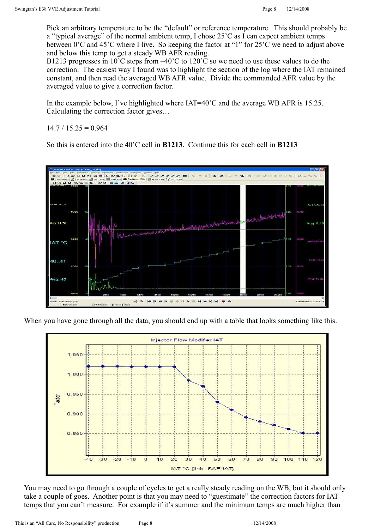Pick an arbitrary temperature to be the "default" or reference temperature. This should probably be a "typical average" of the normal ambient temp, I chose 25'C as I can expect ambient temps between 0'C and 45'C where I live. So keeping the factor at "1" for 25'C we need to adjust above and below this temp to get a steady WB AFR reading.

B1213 progresses in 10<sup>'</sup>C steps from  $-40^{\circ}$ C to 120<sup>'</sup>C so we need to use these values to do the correction. The easiest way I found was to highlight the section of the log where the IAT remained constant, and then read the averaged WB AFR value. Divide the commanded AFR value by the averaged value to give a correction factor.

In the example below, I've highlighted where  $IAT=40^{\circ}$ C and the average WB AFR is 15.25. Calculating the correction factor gives…

 $14.7 / 15.25 = 0.964$ 

So this is entered into the 40'C cell in **B1213**. Continue this for each cell in **B1213**



When you have gone through all the data, you should end up with a table that looks something like this.



You may need to go through a couple of cycles to get a really steady reading on the WB, but it should only take a couple of goes. Another point is that you may need to "guestimate" the correction factors for IAT temps that you can't measure. For example if it's summer and the minimum temps are much higher than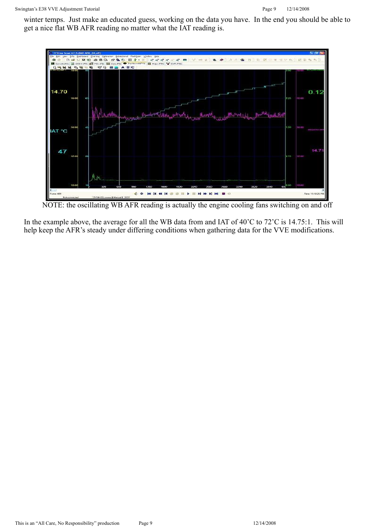winter temps. Just make an educated guess, working on the data you have. In the end you should be able to get a nice flat WB AFR reading no matter what the IAT reading is.



NOTE: the oscillating WB AFR reading is actually the engine cooling fans switching on and off

In the example above, the average for all the WB data from and IAT of 40'C to 72'C is 14.75:1. This will help keep the AFR's steady under differing conditions when gathering data for the VVE modifications.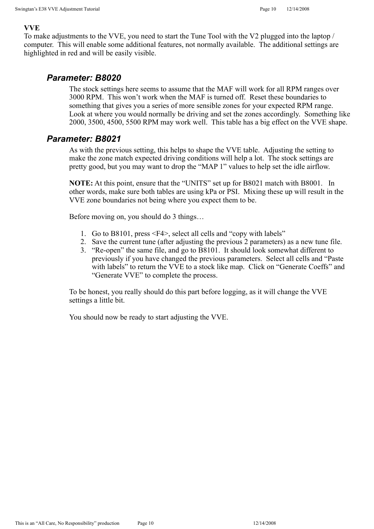#### **VVE**

To make adjustments to the VVE, you need to start the Tune Tool with the V2 plugged into the laptop / computer. This will enable some additional features, not normally available. The additional settings are highlighted in red and will be easily visible.

#### *Parameter: B8020*

The stock settings here seems to assume that the MAF will work for all RPM ranges over 3000 RPM. This won't work when the MAF is turned off. Reset these boundaries to something that gives you a series of more sensible zones for your expected RPM range. Look at where you would normally be driving and set the zones accordingly. Something like 2000, 3500, 4500, 5500 RPM may work well. This table has a big effect on the VVE shape.

### *Parameter: B8021*

As with the previous setting, this helps to shape the VVE table. Adjusting the setting to make the zone match expected driving conditions will help a lot. The stock settings are pretty good, but you may want to drop the "MAP 1" values to help set the idle airflow.

**NOTE:** At this point, ensure that the "UNITS" set up for B8021 match with B8001. In other words, make sure both tables are using kPa or PSI. Mixing these up will result in the VVE zone boundaries not being where you expect them to be.

Before moving on, you should do 3 things…

- 1. Go to B8101, press <F4>, select all cells and "copy with labels"
- 2. Save the current tune (after adjusting the previous 2 parameters) as a new tune file.
- 3. "Re-open" the same file, and go to B8101. It should look somewhat different to previously if you have changed the previous parameters. Select all cells and "Paste with labels" to return the VVE to a stock like map. Click on "Generate Coeffs" and "Generate VVE" to complete the process.

To be honest, you really should do this part before logging, as it will change the VVE settings a little bit.

You should now be ready to start adjusting the VVE.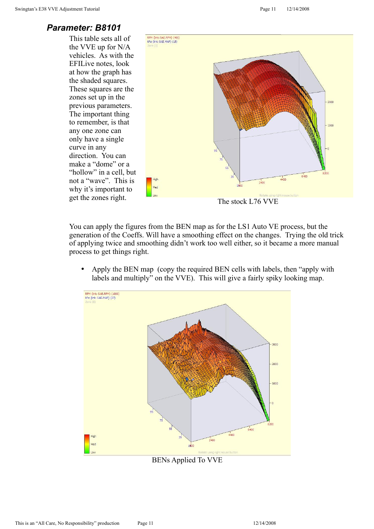#### *Parameter: B8101*

This table sets all of the VVE up for N/A vehicles. As with the EFILive notes, look at how the graph has the shaded squares. These squares are the zones set up in the previous parameters. The important thing to remember, is that any one zone can only have a single curve in any direction. You can make a "dome" or a "hollow" in a cell, but not a "wave". This is why it's important to



You can apply the figures from the BEN map as for the LS1 Auto VE process, but the generation of the Coeffs. Will have a smoothing effect on the changes. Trying the old trick of applying twice and smoothing didn't work too well either, so it became a more manual process to get things right.

• Apply the BEN map (copy the required BEN cells with labels, then "apply with labels and multiply" on the VVE). This will give a fairly spiky looking map.



BENs Applied To VVE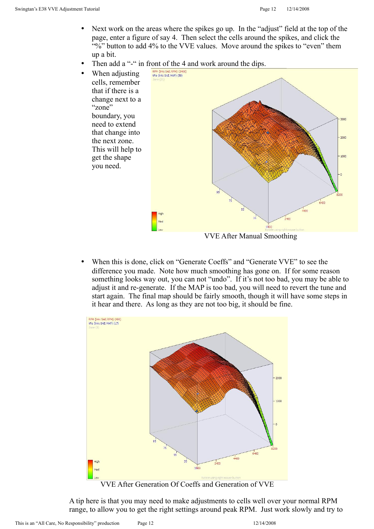- Next work on the areas where the spikes go up. In the "adjust" field at the top of the page, enter a figure of say 4. Then select the cells around the spikes, and click the "%" button to add 4% to the VVE values. Move around the spikes to "even" them up a bit.
- Then add a "-" in front of the 4 and work around the dips.



• When this is done, click on "Generate Coeffs" and "Generate VVE" to see the difference you made. Note how much smoothing has gone on. If for some reason something looks way out, you can not "undo". If it's not too bad, you may be able to adjust it and re-generate. If the MAP is too bad, you will need to revert the tune and start again. The final map should be fairly smooth, though it will have some steps in it hear and there. As long as they are not too big, it should be fine.



A tip here is that you may need to make adjustments to cells well over your normal RPM range, to allow you to get the right settings around peak RPM. Just work slowly and try to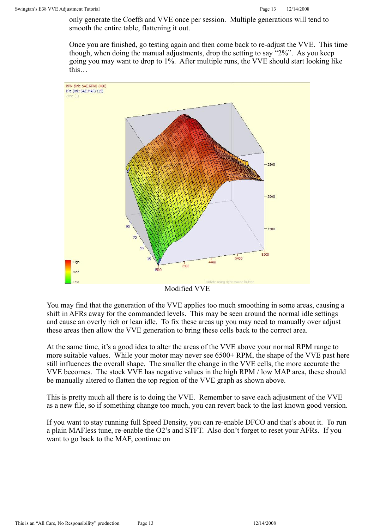only generate the Coeffs and VVE once per session. Multiple generations will tend to smooth the entire table, flattening it out.

Once you are finished, go testing again and then come back to re-adjust the VVE. This time though, when doing the manual adjustments, drop the setting to say "2%". As you keep going you may want to drop to 1%. After multiple runs, the VVE should start looking like this…



Modified VVE

You may find that the generation of the VVE applies too much smoothing in some areas, causing a shift in AFRs away for the commanded levels. This may be seen around the normal idle settings and cause an overly rich or lean idle. To fix these areas up you may need to manually over adjust these areas then allow the VVE generation to bring these cells back to the correct area.

At the same time, it's a good idea to alter the areas of the VVE above your normal RPM range to more suitable values. While your motor may never see 6500+ RPM, the shape of the VVE past here still influences the overall shape. The smaller the change in the VVE cells, the more accurate the VVE becomes. The stock VVE has negative values in the high RPM / low MAP area, these should be manually altered to flatten the top region of the VVE graph as shown above.

This is pretty much all there is to doing the VVE. Remember to save each adjustment of the VVE as a new file, so if something change too much, you can revert back to the last known good version.

If you want to stay running full Speed Density, you can re-enable DFCO and that's about it. To run a plain MAFless tune, re-enable the O2's and STFT. Also don't forget to reset your AFRs. If you want to go back to the MAF, continue on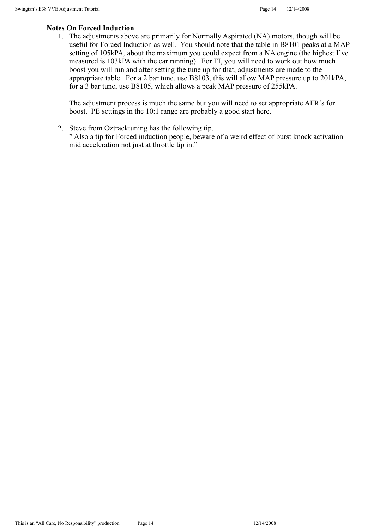#### **Notes On Forced Induction**

1. The adjustments above are primarily for Normally Aspirated (NA) motors, though will be useful for Forced Induction as well. You should note that the table in B8101 peaks at a MAP setting of 105kPA, about the maximum you could expect from a NA engine (the highest I've measured is 103kPA with the car running). For FI, you will need to work out how much boost you will run and after setting the tune up for that, adjustments are made to the appropriate table. For a 2 bar tune, use B8103, this will allow MAP pressure up to 201kPA, for a 3 bar tune, use B8105, which allows a peak MAP pressure of 255kPA.

The adjustment process is much the same but you will need to set appropriate AFR's for boost. PE settings in the 10:1 range are probably a good start here.

2. Steve from Oztracktuning has the following tip.

" Also a tip for Forced induction people, beware of a weird effect of burst knock activation mid acceleration not just at throttle tip in."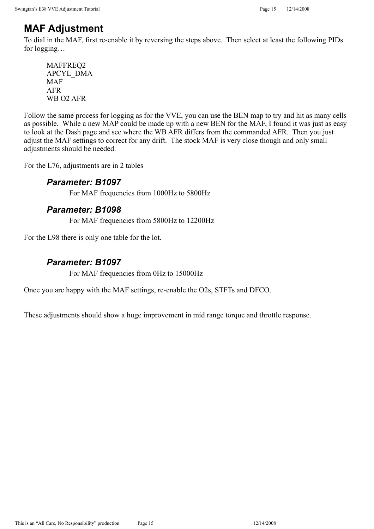# **MAF Adjustment**

To dial in the MAF, first re-enable it by reversing the steps above. Then select at least the following PIDs for logging…

MAFFREQ2 APCYL\_DMA MAF AFR WB O2 AFR

Follow the same process for logging as for the VVE, you can use the BEN map to try and hit as many cells as possible. While a new MAP could be made up with a new BEN for the MAF, I found it was just as easy to look at the Dash page and see where the WB AFR differs from the commanded AFR. Then you just adjust the MAF settings to correct for any drift. The stock MAF is very close though and only small adjustments should be needed.

For the L76, adjustments are in 2 tables

# *Parameter: B1097*

For MAF frequencies from 1000Hz to 5800Hz

# *Parameter: B1098*

For MAF frequencies from 5800Hz to 12200Hz

For the L98 there is only one table for the lot.

# *Parameter: B1097*

For MAF frequencies from 0Hz to 15000Hz

Once you are happy with the MAF settings, re-enable the O2s, STFTs and DFCO.

These adjustments should show a huge improvement in mid range torque and throttle response.